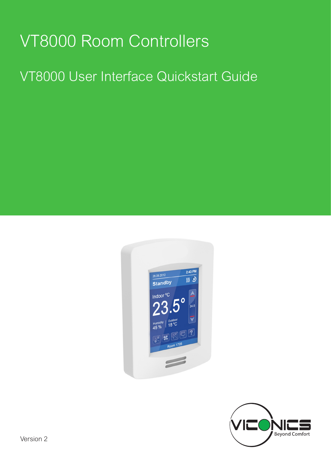# VT8000 Room Controllers

## VT8000 User Interface Quickstart Guide



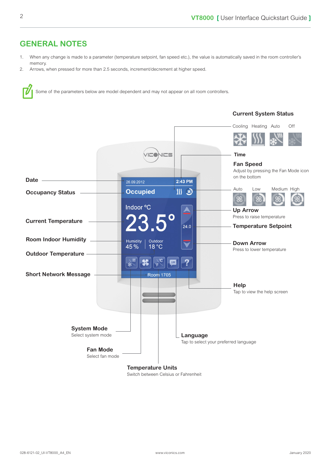#### **GENERAL NOTES**

- 1. When any change is made to a parameter (temperature setpoint, fan speed etc.), the value is automatically saved in the room controller's memory.
- 2. Arrows, when pressed for more than 2.5 seconds, increment/decrement at higher speed.





Switch between Celsius or Fahrenheit